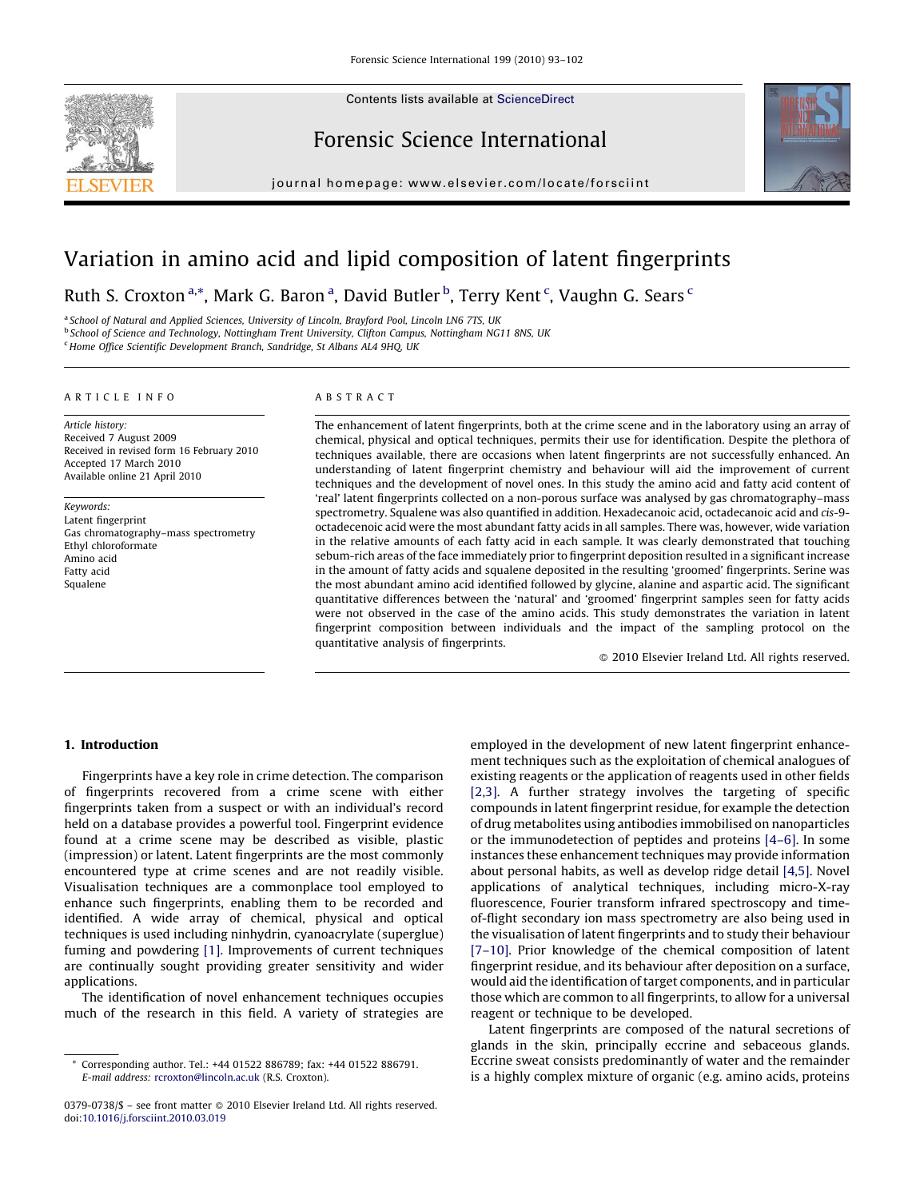

Contents lists available at [ScienceDirect](http://www.sciencedirect.com/science/journal/03790738)

## Forensic Science International

journal homepage: www.elsevier.com/locate/forsciint



# Variation in amino acid and lipid composition of latent fingerprints

Ruth S. Croxton<sup>a,</sup>\*, Mark G. Baron<sup>a</sup>, David Butler<sup>b</sup>, Terry Kent<sup>c</sup>, Vaughn G. Sears<sup>c</sup>

<sup>a</sup> School of Natural and Applied Sciences, University of Lincoln, Brayford Pool, Lincoln LN6 7TS, UK

**b School of Science and Technology, Nottingham Trent University, Clifton Campus, Nottingham NG11 8NS, UK** <sup>c</sup> Home Office Scientific Development Branch, Sandridge, St Albans AL4 9HQ, UK

## ARTICLE INFO

Article history: Received 7 August 2009 Received in revised form 16 February 2010 Accepted 17 March 2010 Available online 21 April 2010

Keywords: Latent fingerprint Gas chromatography–mass spectrometry Ethyl chloroformate Amino acid Fatty acid Squalene

## ABSTRACT

The enhancement of latent fingerprints, both at the crime scene and in the laboratory using an array of chemical, physical and optical techniques, permits their use for identification. Despite the plethora of techniques available, there are occasions when latent fingerprints are not successfully enhanced. An understanding of latent fingerprint chemistry and behaviour will aid the improvement of current techniques and the development of novel ones. In this study the amino acid and fatty acid content of 'real' latent fingerprints collected on a non-porous surface was analysed by gas chromatography–mass spectrometry. Squalene was also quantified in addition. Hexadecanoic acid, octadecanoic acid and cis-9 octadecenoic acid were the most abundant fatty acids in all samples. There was, however, wide variation in the relative amounts of each fatty acid in each sample. It was clearly demonstrated that touching sebum-rich areas of the face immediately prior to fingerprint deposition resulted in a significant increase in the amount of fatty acids and squalene deposited in the resulting 'groomed' fingerprints. Serine was the most abundant amino acid identified followed by glycine, alanine and aspartic acid. The significant quantitative differences between the 'natural' and 'groomed' fingerprint samples seen for fatty acids were not observed in the case of the amino acids. This study demonstrates the variation in latent fingerprint composition between individuals and the impact of the sampling protocol on the quantitative analysis of fingerprints.

- 2010 Elsevier Ireland Ltd. All rights reserved.

## 1. Introduction

Fingerprints have a key role in crime detection. The comparison of fingerprints recovered from a crime scene with either fingerprints taken from a suspect or with an individual's record held on a database provides a powerful tool. Fingerprint evidence found at a crime scene may be described as visible, plastic (impression) or latent. Latent fingerprints are the most commonly encountered type at crime scenes and are not readily visible. Visualisation techniques are a commonplace tool employed to enhance such fingerprints, enabling them to be recorded and identified. A wide array of chemical, physical and optical techniques is used including ninhydrin, cyanoacrylate (superglue) fuming and powdering [\[1\].](#page-8-0) Improvements of current techniques are continually sought providing greater sensitivity and wider applications.

The identification of novel enhancement techniques occupies much of the research in this field. A variety of strategies are employed in the development of new latent fingerprint enhancement techniques such as the exploitation of chemical analogues of existing reagents or the application of reagents used in other fields [\[2,3\]](#page-8-0). A further strategy involves the targeting of specific compounds in latent fingerprint residue, for example the detection of drug metabolites using antibodies immobilised on nanoparticles or the immunodetection of peptides and proteins [\[4–6\].](#page-8-0) In some instances these enhancement techniques may provide information about personal habits, as well as develop ridge detail [\[4,5\].](#page-8-0) Novel applications of analytical techniques, including micro-X-ray fluorescence, Fourier transform infrared spectroscopy and timeof-flight secondary ion mass spectrometry are also being used in the visualisation of latent fingerprints and to study their behaviour [\[7–10\].](#page-8-0) Prior knowledge of the chemical composition of latent fingerprint residue, and its behaviour after deposition on a surface, would aid the identification of target components, and in particular those which are common to all fingerprints, to allow for a universal reagent or technique to be developed.

Latent fingerprints are composed of the natural secretions of glands in the skin, principally eccrine and sebaceous glands. Eccrine sweat consists predominantly of water and the remainder is a highly complex mixture of organic (e.g. amino acids, proteins

Corresponding author. Tel.: +44 01522 886789; fax: +44 01522 886791. E-mail address: [rcroxton@lincoln.ac.uk](mailto:rcroxton@lincoln.ac.uk) (R.S. Croxton).

 $0379-0738/\$  – see front matter  $\odot$  2010 Elsevier Ireland Ltd. All rights reserved. doi:[10.1016/j.forsciint.2010.03.019](http://dx.doi.org/10.1016/j.forsciint.2010.03.019)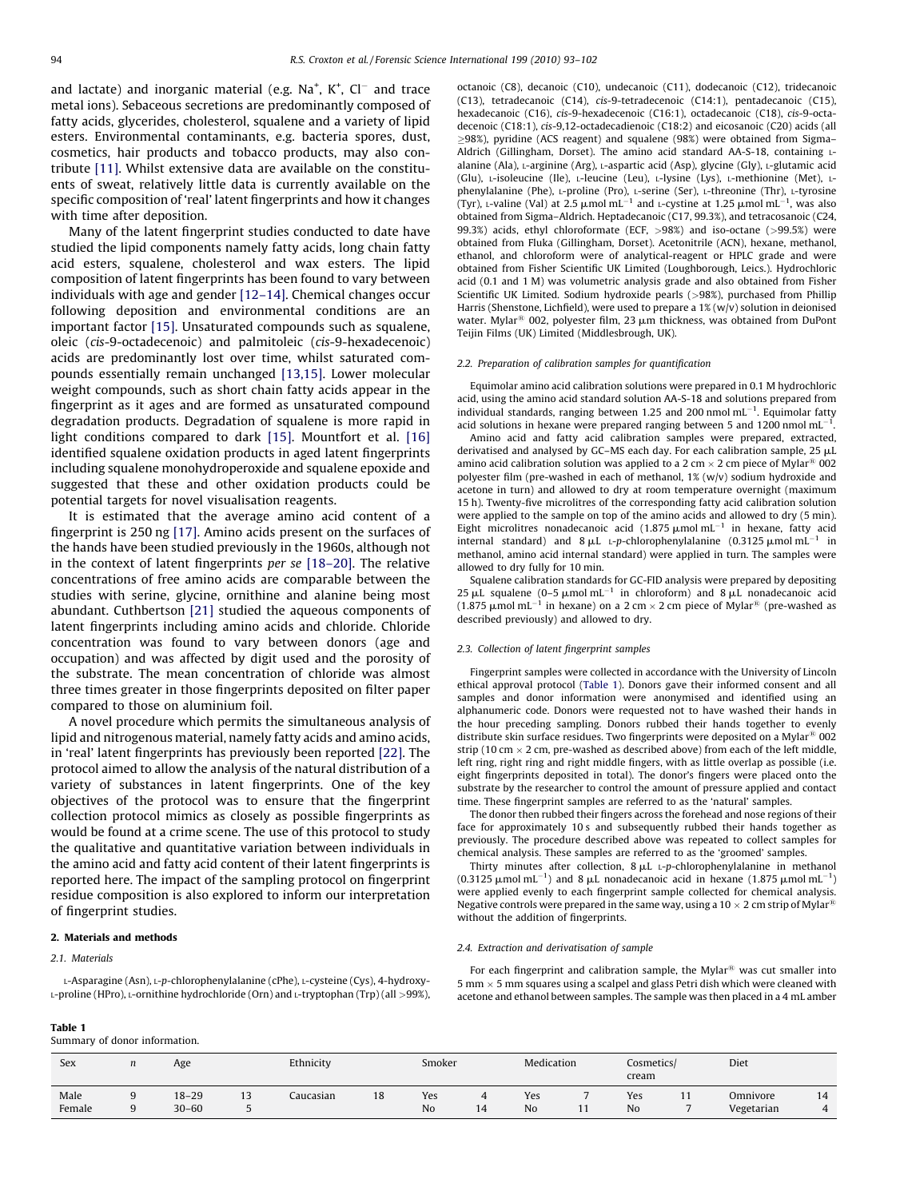<span id="page-1-0"></span>and lactate) and inorganic material (e.g.  $Na<sup>+</sup>$ ,  $K<sup>+</sup>$ ,  $Cl<sup>-</sup>$  and trace metal ions). Sebaceous secretions are predominantly composed of fatty acids, glycerides, cholesterol, squalene and a variety of lipid esters. Environmental contaminants, e.g. bacteria spores, dust, cosmetics, hair products and tobacco products, may also contribute [\[11\].](#page-8-0) Whilst extensive data are available on the constituents of sweat, relatively little data is currently available on the specific composition of 'real' latent fingerprints and how it changes with time after deposition.

Many of the latent fingerprint studies conducted to date have studied the lipid components namely fatty acids, long chain fatty acid esters, squalene, cholesterol and wax esters. The lipid composition of latent fingerprints has been found to vary between individuals with age and gender [\[12–14\].](#page-8-0) Chemical changes occur following deposition and environmental conditions are an important factor [\[15\].](#page-9-0) Unsaturated compounds such as squalene, oleic (cis-9-octadecenoic) and palmitoleic (cis-9-hexadecenoic) acids are predominantly lost over time, whilst saturated compounds essentially remain unchanged [\[13,15\].](#page-9-0) Lower molecular weight compounds, such as short chain fatty acids appear in the fingerprint as it ages and are formed as unsaturated compound degradation products. Degradation of squalene is more rapid in light conditions compared to dark [\[15\]](#page-9-0). Mountfort et al. [\[16\]](#page-9-0) identified squalene oxidation products in aged latent fingerprints including squalene monohydroperoxide and squalene epoxide and suggested that these and other oxidation products could be potential targets for novel visualisation reagents.

It is estimated that the average amino acid content of a fingerprint is 250 ng [\[17\].](#page-9-0) Amino acids present on the surfaces of the hands have been studied previously in the 1960s, although not in the context of latent fingerprints per se [\[18–20\]](#page-9-0). The relative concentrations of free amino acids are comparable between the studies with serine, glycine, ornithine and alanine being most abundant. Cuthbertson [\[21\]](#page-9-0) studied the aqueous components of latent fingerprints including amino acids and chloride. Chloride concentration was found to vary between donors (age and occupation) and was affected by digit used and the porosity of the substrate. The mean concentration of chloride was almost three times greater in those fingerprints deposited on filter paper compared to those on aluminium foil.

A novel procedure which permits the simultaneous analysis of lipid and nitrogenous material, namely fatty acids and amino acids, in 'real' latent fingerprints has previously been reported [\[22\]](#page-9-0). The protocol aimed to allow the analysis of the natural distribution of a variety of substances in latent fingerprints. One of the key objectives of the protocol was to ensure that the fingerprint collection protocol mimics as closely as possible fingerprints as would be found at a crime scene. The use of this protocol to study the qualitative and quantitative variation between individuals in the amino acid and fatty acid content of their latent fingerprints is reported here. The impact of the sampling protocol on fingerprint residue composition is also explored to inform our interpretation of fingerprint studies.

#### 2. Materials and methods

#### 2.1. Materials

L-Asparagine (Asn), L-p-chlorophenylalanine (cPhe), L-cysteine (Cys), 4-hydroxy-L-proline (HPro), L-ornithine hydrochloride (Orn) and L-tryptophan (Trp) (all >99%), octanoic (C8), decanoic (C10), undecanoic (C11), dodecanoic (C12), tridecanoic (C13), tetradecanoic (C14), cis-9-tetradecenoic (C14:1), pentadecanoic (C15), hexadecanoic (C16), cis-9-hexadecenoic (C16:1), octadecanoic (C18), cis-9-octadecenoic (C18:1), cis-9,12-octadecadienoic (C18:2) and eicosanoic (C20) acids (all  $\geq$ 98%), pyridine (ACS reagent) and squalene (98%) were obtained from Sigma-Aldrich (Gillingham, Dorset). The amino acid standard AA-S-18, containing Lalanine (Ala), L-arginine (Arg), L-aspartic acid (Asp), glycine (Gly), L-glutamic acid (Glu), L-isoleucine (Ile), L-leucine (Leu), L-lysine (Lys), L-methionine (Met), Lphenylalanine (Phe), L-proline (Pro), L-serine (Ser), L-threonine (Thr), L-tyrosine (Tyr), L-valine (Val) at 2.5  $\mu$ mol mL<sup>-1</sup> and L-cystine at 1.25  $\mu$ mol mL<sup>-1</sup>, was also obtained from Sigma–Aldrich. Heptadecanoic (C17, 99.3%), and tetracosanoic (C24, 99.3%) acids, ethyl chloroformate (ECF, >98%) and iso-octane (>99.5%) were obtained from Fluka (Gillingham, Dorset). Acetonitrile (ACN), hexane, methanol, ethanol, and chloroform were of analytical-reagent or HPLC grade and were obtained from Fisher Scientific UK Limited (Loughborough, Leics.). Hydrochloric acid (0.1 and 1 M) was volumetric analysis grade and also obtained from Fisher Scientific UK Limited. Sodium hydroxide pearls (>98%), purchased from Phillip Harris (Shenstone, Lichfield), were used to prepare a 1% (w/v) solution in deionised water. Mylar<sup>®</sup> 002, polyester film, 23  $\mu$ m thickness, was obtained from DuPont Teijin Films (UK) Limited (Middlesbrough, UK).

## 2.2. Preparation of calibration samples for quantification

Equimolar amino acid calibration solutions were prepared in 0.1 M hydrochloric acid, using the amino acid standard solution AA-S-18 and solutions prepared from individual standards, ranging between 1.25 and 200 nmol  $mL^{-1}$ . Equimolar fatty acid solutions in hexane were prepared ranging between 5 and 1200 nmol  $mL^{-1}$ .

Amino acid and fatty acid calibration samples were prepared, extracted, derivatised and analysed by GC–MS each day. For each calibration sample,  $25 \mu L$ amino acid calibration solution was applied to a 2 cm  $\times$  2 cm piece of Mylar<sup>®</sup> 002 polyester film (pre-washed in each of methanol, 1% (w/v) sodium hydroxide and acetone in turn) and allowed to dry at room temperature overnight (maximum 15 h). Twenty-five microlitres of the corresponding fatty acid calibration solution were applied to the sample on top of the amino acids and allowed to dry (5 min). Eight microlitres nonadecanoic acid  $(1.875 \mu mol mL^{-1})$  in hexane, fatty acid internal standard) and  $8 \mu L$  L-p-chlorophenylalanine (0.3125  $\mu$ mol mL<sup>-1</sup> in methanol, amino acid internal standard) were applied in turn. The samples were allowed to dry fully for 10 min.

Squalene calibration standards for GC-FID analysis were prepared by depositing 25  $\mu$ L squalene (0–5  $\mu$ mol mL<sup>-1</sup> in chloroform) and 8  $\mu$ L nonadecanoic acid (1.875  $\mu$ mol mL<sup>-1</sup> in hexane) on a 2 cm  $\times$  2 cm piece of Mylar<sup>®</sup> (pre-washed as described previously) and allowed to dry.

#### 2.3. Collection of latent fingerprint samples

Fingerprint samples were collected in accordance with the University of Lincoln ethical approval protocol (Table 1). Donors gave their informed consent and all samples and donor information were anonymised and identified using an alphanumeric code. Donors were requested not to have washed their hands in the hour preceding sampling. Donors rubbed their hands together to evenly distribute skin surface residues. Two fingerprints were deposited on a Mylar<sup>®</sup> 002 strip (10 cm  $\times$  2 cm, pre-washed as described above) from each of the left middle, left ring, right ring and right middle fingers, with as little overlap as possible (i.e. eight fingerprints deposited in total). The donor's fingers were placed onto the substrate by the researcher to control the amount of pressure applied and contact time. These fingerprint samples are referred to as the 'natural' samples.

The donor then rubbed their fingers across the forehead and nose regions of their face for approximately 10 s and subsequently rubbed their hands together as previously. The procedure described above was repeated to collect samples for chemical analysis. These samples are referred to as the 'groomed' samples.

Thirty minutes after collection,  $8 \mu L$  L-p-chlorophenylalanine in methanol (0.3125  $\mu$ mol mL<sup>-1</sup>) and 8  $\mu$ L nonadecanoic acid in hexane (1.875  $\mu$ mol mL<sup>-1</sup>) were applied evenly to each fingerprint sample collected for chemical analysis. Negative controls were prepared in the same way, using a  $10 \times 2$  cm strip of Mylar<sup>®</sup> without the addition of fingerprints.

#### 2.4. Extraction and derivatisation of sample

For each fingerprint and calibration sample, the Mylar $^{\circledR}$  was cut smaller into  $5$  mm  $\times$  5 mm squares using a scalpel and glass Petri dish which were cleaned with acetone and ethanol between samples. The sample was then placed in a 4 mL amber

| ۰. |  |  |  |
|----|--|--|--|
|----|--|--|--|

Summary of donor information.

| Sex    | n | Age       |    | Ethnicity |    | Smoker         |    | Medication | Cosmetics/<br>cream |    | Diet       |    |
|--------|---|-----------|----|-----------|----|----------------|----|------------|---------------------|----|------------|----|
| Male   |   | $18 - 29$ | 13 | Caucasian | 18 | Yes            |    | Yes        | Yes                 | 11 | Omnivore   | 14 |
| Female |   | $30 - 60$ |    |           |    | N <sub>o</sub> | 14 | No         | No                  | -  | Vegetarian | ↵  |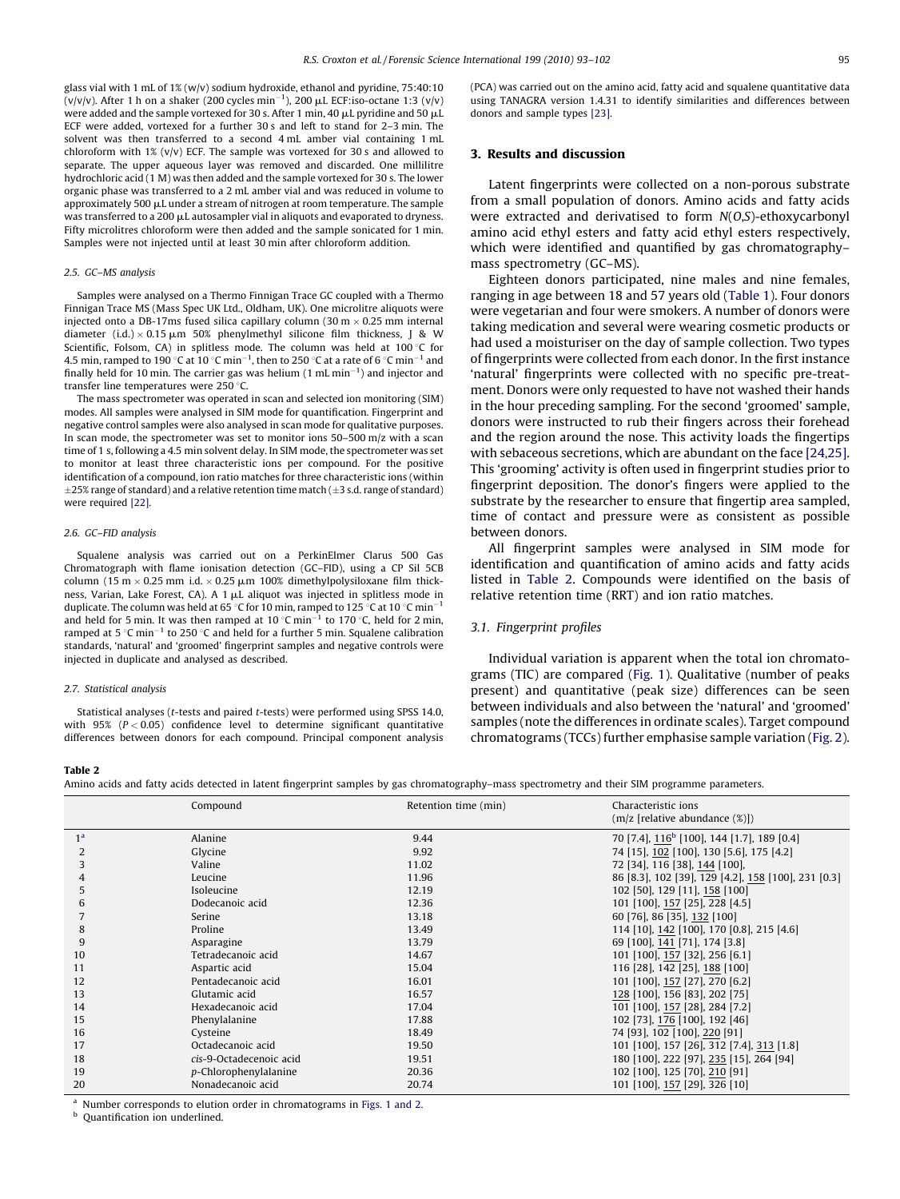<span id="page-2-0"></span>glass vial with 1 mL of  $1\%$  (w/v) sodium hydroxide, ethanol and pyridine, 75:40:10 (v/v/v). After 1 h on a shaker (200 cycles  $\text{min}^{-1}$ ), 200  $\mu$ L ECF:iso-octane 1:3 (v/v) were added and the sample vortexed for 30 s. After 1 min, 40  $\mu$ L pyridine and 50  $\mu$ L ECF were added, vortexed for a further 30 s and left to stand for 2–3 min. The solvent was then transferred to a second 4 mL amber vial containing 1 mL chloroform with 1% ( $v/v$ ) ECF. The sample was vortexed for 30 s and allowed to separate. The upper aqueous layer was removed and discarded. One millilitre hydrochloric acid (1 M) was then added and the sample vortexed for 30 s. The lower organic phase was transferred to a 2 mL amber vial and was reduced in volume to approximately 500  $\mu$ L under a stream of nitrogen at room temperature. The sample was transferred to a 200 mL autosampler vial in aliquots and evaporated to dryness. Fifty microlitres chloroform were then added and the sample sonicated for 1 min. Samples were not injected until at least 30 min after chloroform addition.

#### 2.5. GC–MS analysis

Samples were analysed on a Thermo Finnigan Trace GC coupled with a Thermo Finnigan Trace MS (Mass Spec UK Ltd., Oldham, UK). One microlitre aliquots were injected onto a DB-17ms fused silica capillary column (30 m  $\times$  0.25 mm internal diameter (i.d.)  $\times$  0.15  $\mu$ m 50% phenylmethyl silicone film thickness, J & W Scientific, Folsom, CA) in splitless mode. The column was held at  $100 °C$  for 4.5 min, ramped to 190 °C at 10 °C min $^{-1}$ , then to 250 °C at a rate of 6 °C min $^{-1}$  and finally held for 10 min. The carrier gas was helium (1 mL min<sup>-1</sup>) and injector and transfer line temperatures were 250 °C.

The mass spectrometer was operated in scan and selected ion monitoring (SIM) modes. All samples were analysed in SIM mode for quantification. Fingerprint and negative control samples were also analysed in scan mode for qualitative purposes. In scan mode, the spectrometer was set to monitor ions  $50-500$  m/z with a scan time of 1 s, following a 4.5 min solvent delay. In SIM mode, the spectrometer was set to monitor at least three characteristic ions per compound. For the positive identification of a compound, ion ratio matches for three characteristic ions (within  $\pm 25\%$  range of standard) and a relative retention time match ( $\pm 3$  s.d. range of standard) were required [\[22\].](#page-9-0)

## 2.6. GC–FID analysis

Squalene analysis was carried out on a PerkinElmer Clarus 500 Gas Chromatograph with flame ionisation detection (GC–FID), using a CP Sil 5CB column (15 m  $\times$  0.25 mm i.d.  $\times$  0.25  $\mu$ m 100% dimethylpolysiloxane film thickness, Varian, Lake Forest, CA). A 1  $\mu$ L aliquot was injected in splitless mode in duplicate. The column was held at 65 °C for 10 min, ramped to 125 °C at 10 °C min $^{-1}$ and held for 5 min. It was then ramped at  $10\,^{\circ}$ C min<sup>-1</sup> to 170  $^{\circ}$ C, held for 2 min, ramped at 5 °C min<sup>-1</sup> to 250 °C and held for a further 5 min. Squalene calibration standards, 'natural' and 'groomed' fingerprint samples and negative controls were injected in duplicate and analysed as described.

#### 2.7. Statistical analysis

Statistical analyses (t-tests and paired t-tests) were performed using SPSS 14.0, with 95%  $(P < 0.05)$  confidence level to determine significant quantitative differences between donors for each compound. Principal component analysis (PCA) was carried out on the amino acid, fatty acid and squalene quantitative data using TANAGRA version 1.4.31 to identify similarities and differences between donors and sample types [\[23\].](#page-9-0)

## 3. Results and discussion

Latent fingerprints were collected on a non-porous substrate from a small population of donors. Amino acids and fatty acids were extracted and derivatised to form N(O,S)-ethoxycarbonyl amino acid ethyl esters and fatty acid ethyl esters respectively, which were identified and quantified by gas chromatography– mass spectrometry (GC–MS).

Eighteen donors participated, nine males and nine females, ranging in age between 18 and 57 years old [\(Table 1\)](#page-1-0). Four donors were vegetarian and four were smokers. A number of donors were taking medication and several were wearing cosmetic products or had used a moisturiser on the day of sample collection. Two types of fingerprints were collected from each donor. In the first instance 'natural' fingerprints were collected with no specific pre-treatment. Donors were only requested to have not washed their hands in the hour preceding sampling. For the second 'groomed' sample, donors were instructed to rub their fingers across their forehead and the region around the nose. This activity loads the fingertips with sebaceous secretions, which are abundant on the face [\[24,25\].](#page-9-0) This 'grooming' activity is often used in fingerprint studies prior to fingerprint deposition. The donor's fingers were applied to the substrate by the researcher to ensure that fingertip area sampled, time of contact and pressure were as consistent as possible between donors.

All fingerprint samples were analysed in SIM mode for identification and quantification of amino acids and fatty acids listed in Table 2. Compounds were identified on the basis of relative retention time (RRT) and ion ratio matches.

## 3.1. Fingerprint profiles

Individual variation is apparent when the total ion chromatograms (TIC) are compared [\(Fig. 1](#page-3-0)). Qualitative (number of peaks present) and quantitative (peak size) differences can be seen between individuals and also between the 'natural' and 'groomed' samples (note the differences in ordinate scales). Target compound chromatograms (TCCs) further emphasise sample variation ([Fig. 2\)](#page-4-0).

#### Table 2

Amino acids and fatty acids detected in latent fingerprint samples by gas chromatography–mass spectrometry and their SIM programme parameters.

|                | Compound                | Retention time (min) | Characteristic ions<br>$(m/z$ [relative abundance $(\%)$ ]) |
|----------------|-------------------------|----------------------|-------------------------------------------------------------|
| 1 <sup>a</sup> | Alanine                 | 9.44                 | 70 [7.4], 116 <sup>b</sup> [100], 144 [1.7], 189 [0.4]      |
| 2              | Glycine                 | 9.92                 | 74 [15], 102 [100], 130 [5.6], 175 [4.2]                    |
|                | Valine                  | 11.02                | 72 [34], 116 [38], 144 [100],                               |
|                | Leucine                 | 11.96                | 86 [8.3], 102 [39], 129 [4.2], 158 [100], 231 [0.3]         |
| 5              | Isoleucine              | 12.19                | 102 [50], 129 [11], 158 [100]                               |
|                | Dodecanoic acid         | 12.36                | 101 [100], 157 [25], 228 [4.5]                              |
|                | Serine                  | 13.18                | 60 [76], 86 [35], 132 [100]                                 |
| 8              | Proline                 | 13.49                | 114 [10], 142 [100], 170 [0.8], 215 [4.6]                   |
| 9              | Asparagine              | 13.79                | 69 [100], 141 [71], 174 [3.8]                               |
| 10             | Tetradecanoic acid      | 14.67                | 101 [100], 157 [32], 256 [6.1]                              |
| 11             | Aspartic acid           | 15.04                | 116 [28], 142 [25], 188 [100]                               |
| 12             | Pentadecanoic acid      | 16.01                | 101 [100], 157 [27], 270 [6.2]                              |
| 13             | Glutamic acid           | 16.57                | 128 [100], 156 [83], 202 [75]                               |
| 14             | Hexadecanoic acid       | 17.04                | 101 [100], 157 [28], 284 [7.2]                              |
| 15             | Phenylalanine           | 17.88                | 102 [73], 176 [100], 192 [46]                               |
| 16             | Cysteine                | 18.49                | 74 [93], 102 [100], 220 [91]                                |
| 17             | Octadecanoic acid       | 19.50                | 101 [100], 157 [26], 312 [7.4], 313 [1.8]                   |
| 18             | cis-9-Octadecenoic acid | 19.51                | 180 [100], 222 [97], 235 [15], 264 [94]                     |
| 19             | p-Chlorophenylalanine   | 20.36                | 102 [100], 125 [70], 210 [91]                               |
| 20             | Nonadecanoic acid       | 20.74                | 101 [100], 157 [29], 326 [10]                               |

Number corresponds to elution order in chromatograms in [Figs. 1 and 2.](#page-3-0)

Quantification ion underlined.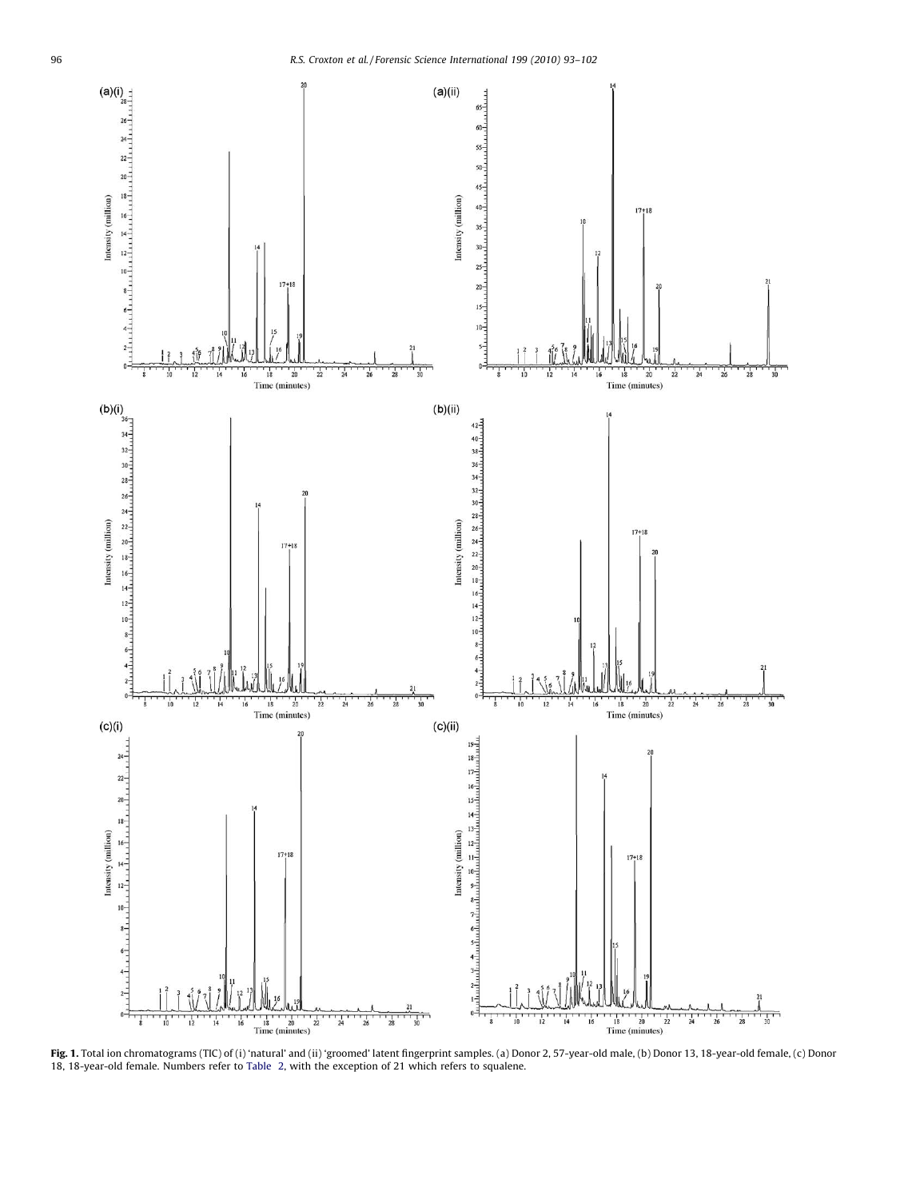<span id="page-3-0"></span>

Fig. 1. Total ion chromatograms (TIC) of (i) 'natural' and (ii) 'groomed' latent fingerprint samples. (a) Donor 2, 57-year-old male, (b) Donor 13, 18-year-old female, (c) Donor 18, 18-year-old female. Numbers refer to [Table 2](#page-2-0), with the exception of 21 which refers to squalene.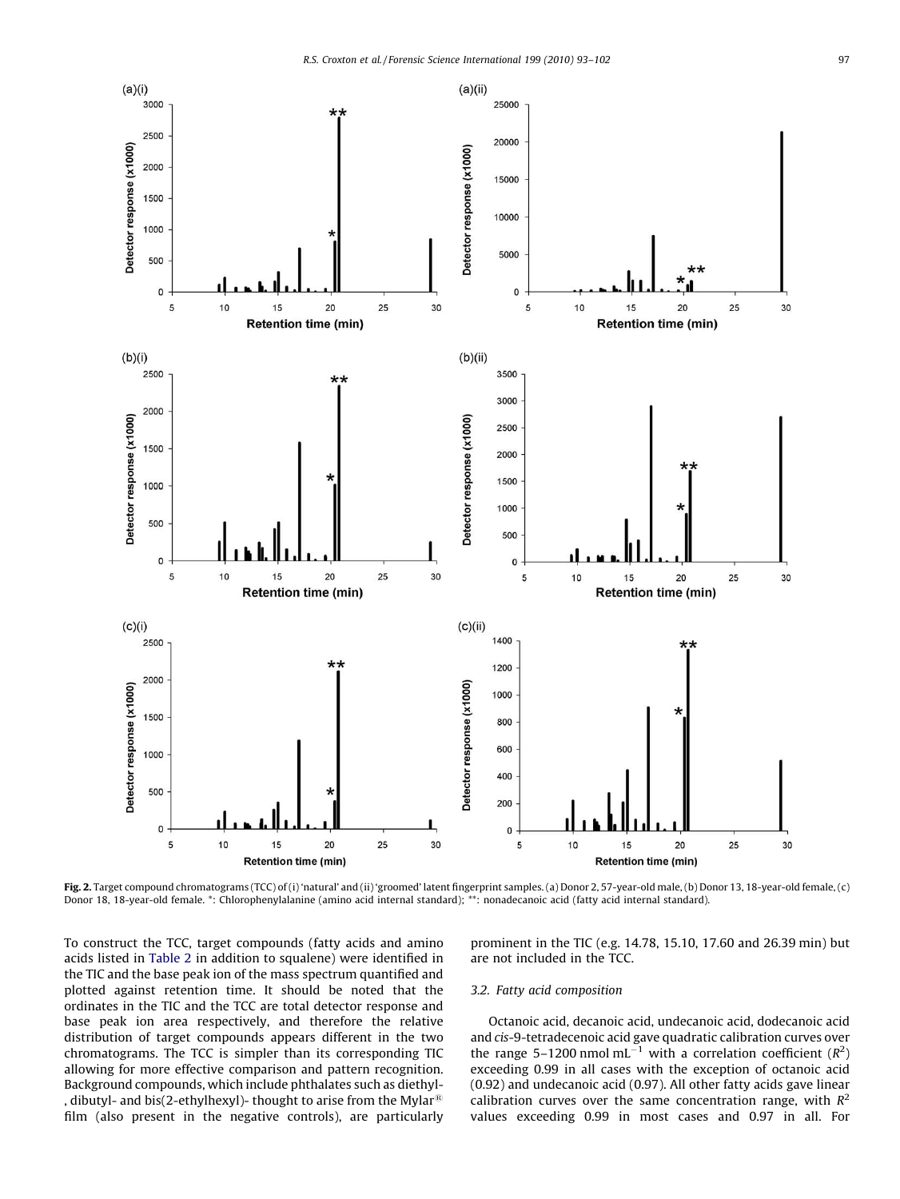<span id="page-4-0"></span>

Fig. 2. Target compound chromatograms (TCC) of (i) 'natural' and (ii) 'groomed' latent fingerprint samples. (a) Donor 2, 57-year-old male, (b) Donor 13, 18-year-old female, (c) Donor 18, 18-year-old female. \*: Chlorophenylalanine (amino acid internal standard); \*\*: nonadecanoic acid (fatty acid internal standard).

To construct the TCC, target compounds (fatty acids and amino acids listed in [Table 2](#page-2-0) in addition to squalene) were identified in the TIC and the base peak ion of the mass spectrum quantified and plotted against retention time. It should be noted that the ordinates in the TIC and the TCC are total detector response and base peak ion area respectively, and therefore the relative distribution of target compounds appears different in the two chromatograms. The TCC is simpler than its corresponding TIC allowing for more effective comparison and pattern recognition. Background compounds, which include phthalates such as diethyl- , dibutyl- and bis(2-ethylhexyl)- thought to arise from the Mylar $^{\circledR}$ film (also present in the negative controls), are particularly prominent in the TIC (e.g. 14.78, 15.10, 17.60 and 26.39 min) but are not included in the TCC.

## 3.2. Fatty acid composition

Octanoic acid, decanoic acid, undecanoic acid, dodecanoic acid and cis-9-tetradecenoic acid gave quadratic calibration curves over the range 5–1200 nmol mL<sup>-1</sup> with a correlation coefficient ( $R^2$ ) exceeding 0.99 in all cases with the exception of octanoic acid (0.92) and undecanoic acid (0.97). All other fatty acids gave linear calibration curves over the same concentration range, with  $R^2$ values exceeding 0.99 in most cases and 0.97 in all. For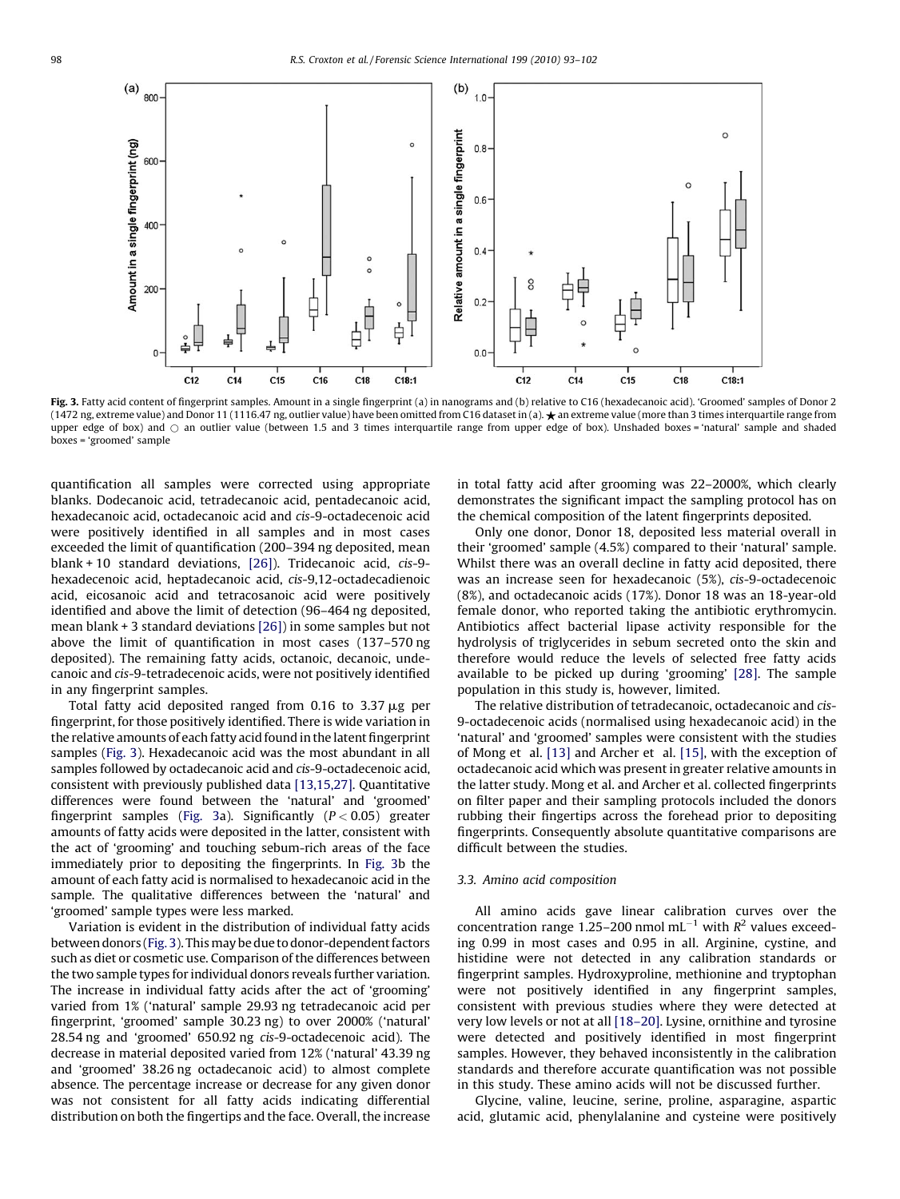<span id="page-5-0"></span>

Fig. 3. Fatty acid content of fingerprint samples. Amount in a single fingerprint (a) in nanograms and (b) relative to C16 (hexadecanoic acid). 'Groomed' samples of Donor 2 (1472 ng, extreme value) and Donor 11 (1116.47 ng, outlier value) have been omitted from C16 dataset in (a).  $\bigstar$  an extreme value (more than 3 times interquartile range from upper edge of box) and  $\odot$  an outlier value (between 1.5 and 3 times interquartile range from upper edge of box). Unshaded boxes = 'natural' sample and shaded boxes = 'groomed' sample

quantification all samples were corrected using appropriate blanks. Dodecanoic acid, tetradecanoic acid, pentadecanoic acid, hexadecanoic acid, octadecanoic acid and cis-9-octadecenoic acid were positively identified in all samples and in most cases exceeded the limit of quantification (200–394 ng deposited, mean blank + 10 standard deviations, [\[26\]](#page-9-0)). Tridecanoic acid, cis-9 hexadecenoic acid, heptadecanoic acid, cis-9,12-octadecadienoic acid, eicosanoic acid and tetracosanoic acid were positively identified and above the limit of detection (96–464 ng deposited, mean blank + 3 standard deviations [\[26\]\)](#page-9-0) in some samples but not above the limit of quantification in most cases (137–570 ng deposited). The remaining fatty acids, octanoic, decanoic, undecanoic and cis-9-tetradecenoic acids, were not positively identified in any fingerprint samples.

Total fatty acid deposited ranged from  $0.16$  to  $3.37 \mu$ g per fingerprint, for those positively identified. There is wide variation in the relative amounts of each fatty acid found in the latent fingerprint samples (Fig. 3). Hexadecanoic acid was the most abundant in all samples followed by octadecanoic acid and cis-9-octadecenoic acid, consistent with previously published data [\[13,15,27\]](#page-9-0). Quantitative differences were found between the 'natural' and 'groomed' fingerprint samples (Fig. 3a). Significantly  $(P < 0.05)$  greater amounts of fatty acids were deposited in the latter, consistent with the act of 'grooming' and touching sebum-rich areas of the face immediately prior to depositing the fingerprints. In Fig. 3b the amount of each fatty acid is normalised to hexadecanoic acid in the sample. The qualitative differences between the 'natural' and 'groomed' sample types were less marked.

Variation is evident in the distribution of individual fatty acids between donors (Fig. 3). Thismay be due to donor-dependent factors such as diet or cosmetic use. Comparison of the differences between the two sample types for individual donors reveals further variation. The increase in individual fatty acids after the act of 'grooming' varied from 1% ('natural' sample 29.93 ng tetradecanoic acid per fingerprint, 'groomed' sample 30.23 ng) to over 2000% ('natural' 28.54 ng and 'groomed' 650.92 ng cis-9-octadecenoic acid). The decrease in material deposited varied from 12% ('natural' 43.39 ng and 'groomed' 38.26 ng octadecanoic acid) to almost complete absence. The percentage increase or decrease for any given donor was not consistent for all fatty acids indicating differential distribution on both the fingertips and the face. Overall, the increase in total fatty acid after grooming was 22–2000%, which clearly demonstrates the significant impact the sampling protocol has on the chemical composition of the latent fingerprints deposited.

Only one donor, Donor 18, deposited less material overall in their 'groomed' sample (4.5%) compared to their 'natural' sample. Whilst there was an overall decline in fatty acid deposited, there was an increase seen for hexadecanoic (5%), cis-9-octadecenoic (8%), and octadecanoic acids (17%). Donor 18 was an 18-year-old female donor, who reported taking the antibiotic erythromycin. Antibiotics affect bacterial lipase activity responsible for the hydrolysis of triglycerides in sebum secreted onto the skin and therefore would reduce the levels of selected free fatty acids available to be picked up during 'grooming' [\[28\].](#page-9-0) The sample population in this study is, however, limited.

The relative distribution of tetradecanoic, octadecanoic and cis-9-octadecenoic acids (normalised using hexadecanoic acid) in the 'natural' and 'groomed' samples were consistent with the studies of Mong et al. [\[13\]](#page-9-0) and Archer et al. [\[15\],](#page-9-0) with the exception of octadecanoic acid which was present in greater relative amounts in the latter study. Mong et al. and Archer et al. collected fingerprints on filter paper and their sampling protocols included the donors rubbing their fingertips across the forehead prior to depositing fingerprints. Consequently absolute quantitative comparisons are difficult between the studies.

## 3.3. Amino acid composition

All amino acids gave linear calibration curves over the concentration range 1.25–200 nmol mL<sup>-1</sup> with  $R^2$  values exceeding 0.99 in most cases and 0.95 in all. Arginine, cystine, and histidine were not detected in any calibration standards or fingerprint samples. Hydroxyproline, methionine and tryptophan were not positively identified in any fingerprint samples, consistent with previous studies where they were detected at very low levels or not at all [\[18–20\].](#page-9-0) Lysine, ornithine and tyrosine were detected and positively identified in most fingerprint samples. However, they behaved inconsistently in the calibration standards and therefore accurate quantification was not possible in this study. These amino acids will not be discussed further.

Glycine, valine, leucine, serine, proline, asparagine, aspartic acid, glutamic acid, phenylalanine and cysteine were positively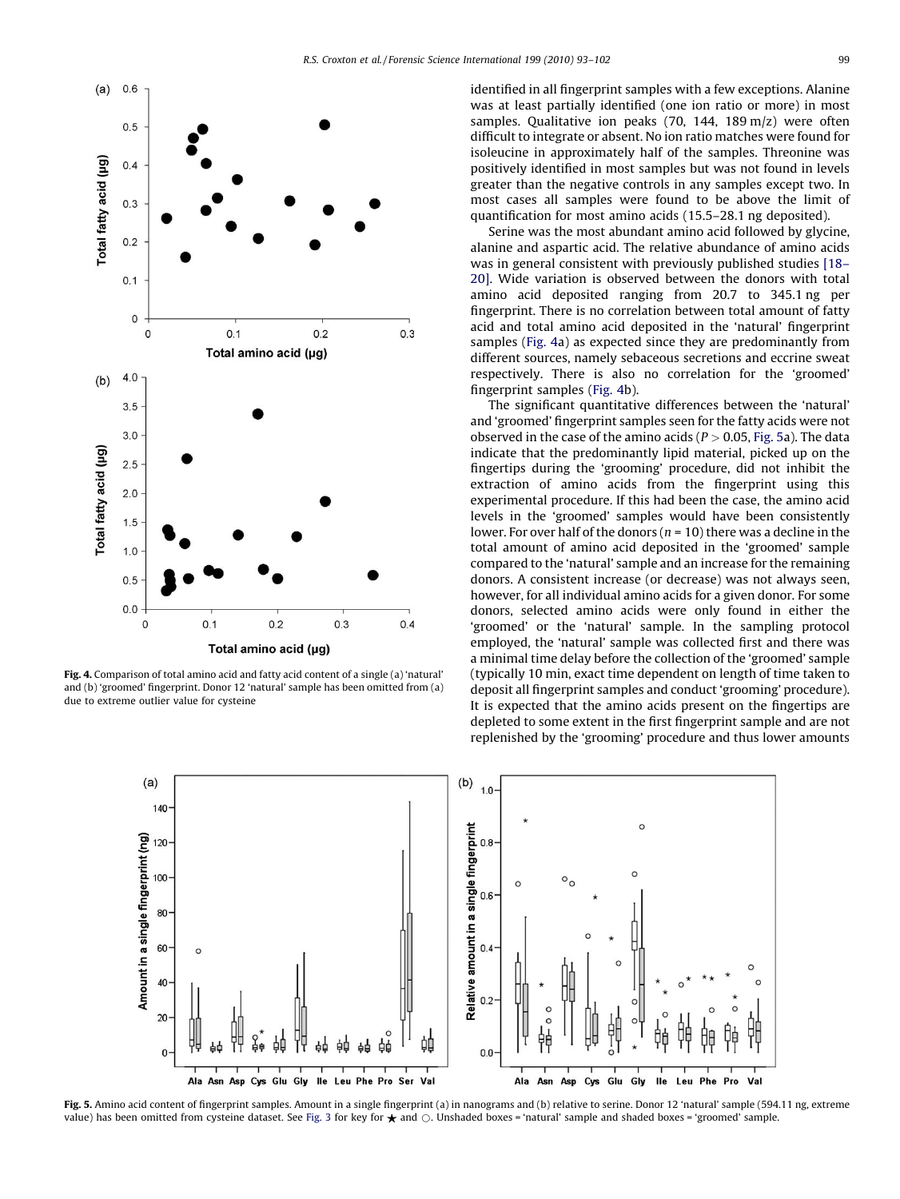<span id="page-6-0"></span>

Fig. 4. Comparison of total amino acid and fatty acid content of a single (a) 'natural' and (b) 'groomed' fingerprint. Donor 12 'natural' sample has been omitted from (a) due to extreme outlier value for cysteine

identified in all fingerprint samples with a few exceptions. Alanine was at least partially identified (one ion ratio or more) in most samples. Qualitative ion peaks (70, 144, 189 m/z) were often difficult to integrate or absent. No ion ratio matches were found for isoleucine in approximately half of the samples. Threonine was positively identified in most samples but was not found in levels greater than the negative controls in any samples except two. In most cases all samples were found to be above the limit of quantification for most amino acids (15.5–28.1 ng deposited).

Serine was the most abundant amino acid followed by glycine, alanine and aspartic acid. The relative abundance of amino acids was in general consistent with previously published studies [\[18–](#page-9-0) [20\]](#page-9-0). Wide variation is observed between the donors with total amino acid deposited ranging from 20.7 to 345.1 ng per fingerprint. There is no correlation between total amount of fatty acid and total amino acid deposited in the 'natural' fingerprint samples (Fig. 4a) as expected since they are predominantly from different sources, namely sebaceous secretions and eccrine sweat respectively. There is also no correlation for the 'groomed' fingerprint samples (Fig. 4b).

The significant quantitative differences between the 'natural' and 'groomed' fingerprint samples seen for the fatty acids were not observed in the case of the amino acids ( $P > 0.05$ , Fig. 5a). The data indicate that the predominantly lipid material, picked up on the fingertips during the 'grooming' procedure, did not inhibit the extraction of amino acids from the fingerprint using this experimental procedure. If this had been the case, the amino acid levels in the 'groomed' samples would have been consistently lower. For over half of the donors ( $n = 10$ ) there was a decline in the total amount of amino acid deposited in the 'groomed' sample compared to the 'natural' sample and an increase for the remaining donors. A consistent increase (or decrease) was not always seen, however, for all individual amino acids for a given donor. For some donors, selected amino acids were only found in either the 'groomed' or the 'natural' sample. In the sampling protocol employed, the 'natural' sample was collected first and there was a minimal time delay before the collection of the 'groomed' sample (typically 10 min, exact time dependent on length of time taken to deposit all fingerprint samples and conduct 'grooming' procedure). It is expected that the amino acids present on the fingertips are depleted to some extent in the first fingerprint sample and are not replenished by the 'grooming' procedure and thus lower amounts



Fig. 5. Amino acid content of fingerprint samples. Amount in a single fingerprint (a) in nanograms and (b) relative to serine. Donor 12 'natural' sample (594.11 ng, extreme value) has been omitted from cysteine dataset. See [Fig. 3](#page-5-0) for key for  $\star$  and  $\bigcirc$ . Unshaded boxes = 'natural' sample and shaded boxes = 'groomed' sample.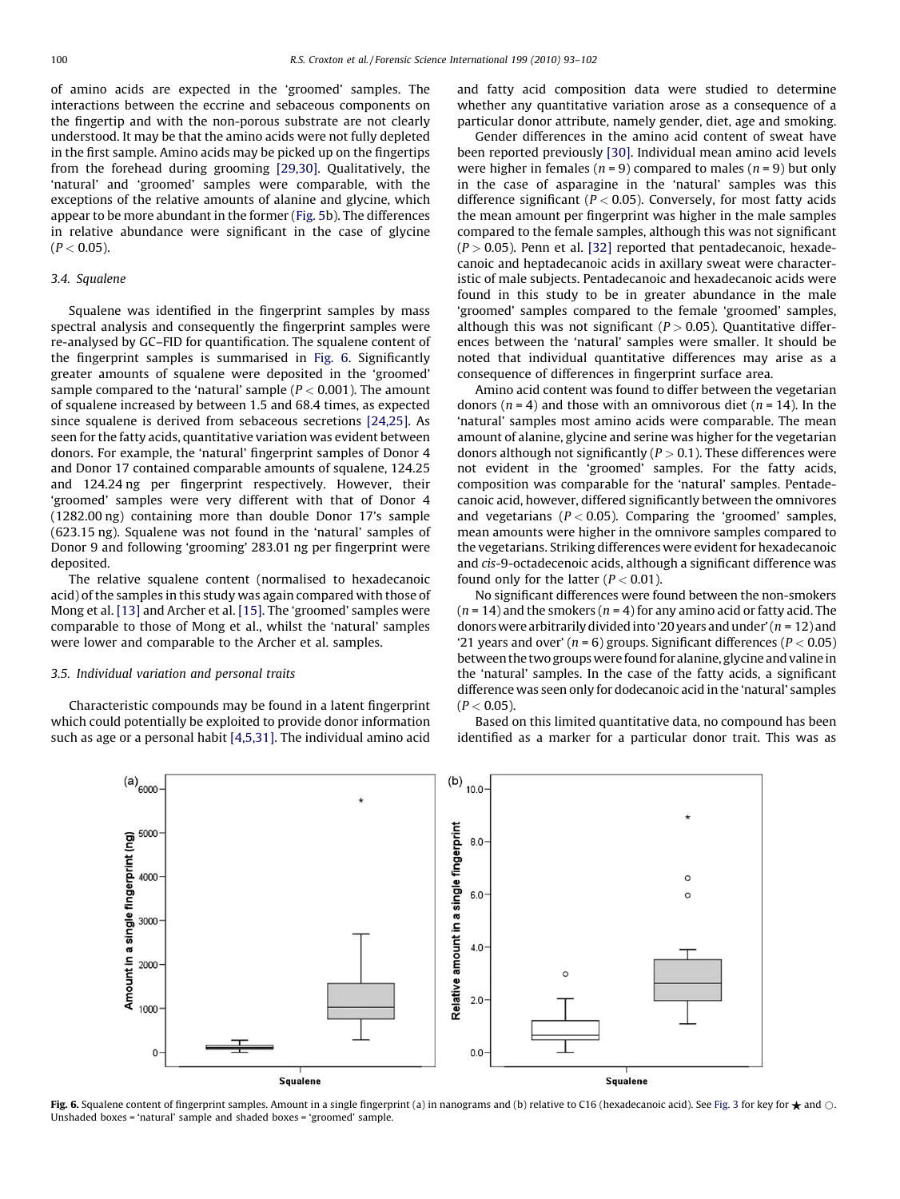of amino acids are expected in the 'groomed' samples. The interactions between the eccrine and sebaceous components on the fingertip and with the non-porous substrate are not clearly understood. It may be that the amino acids were not fully depleted in the first sample. Amino acids may be picked up on the fingertips from the forehead during grooming [\[29,30\]](#page-9-0). Qualitatively, the 'natural' and 'groomed' samples were comparable, with the exceptions of the relative amounts of alanine and glycine, which appear to be more abundant in the former ([Fig. 5b](#page-6-0)). The differences in relative abundance were significant in the case of glycine  $(P < 0.05)$ .

## 3.4. Squalene

Squalene was identified in the fingerprint samples by mass spectral analysis and consequently the fingerprint samples were re-analysed by GC–FID for quantification. The squalene content of the fingerprint samples is summarised in Fig. 6. Significantly greater amounts of squalene were deposited in the 'groomed' sample compared to the 'natural' sample ( $P < 0.001$ ). The amount of squalene increased by between 1.5 and 68.4 times, as expected since squalene is derived from sebaceous secretions [\[24,25\]](#page-9-0). As seen for the fatty acids, quantitative variation was evident between donors. For example, the 'natural' fingerprint samples of Donor 4 and Donor 17 contained comparable amounts of squalene, 124.25 and 124.24 ng per fingerprint respectively. However, their 'groomed' samples were very different with that of Donor 4 (1282.00 ng) containing more than double Donor 17's sample (623.15 ng). Squalene was not found in the 'natural' samples of Donor 9 and following 'grooming' 283.01 ng per fingerprint were deposited.

The relative squalene content (normalised to hexadecanoic acid) of the samples in this study was again compared with those of Mong et al. [\[13\]](#page-9-0) and Archer et al. [\[15\]](#page-9-0). The 'groomed' samples were comparable to those of Mong et al., whilst the 'natural' samples were lower and comparable to the Archer et al. samples.

#### 3.5. Individual variation and personal traits

Characteristic compounds may be found in a latent fingerprint which could potentially be exploited to provide donor information such as age or a personal habit [\[4,5,31\].](#page-8-0) The individual amino acid and fatty acid composition data were studied to determine whether any quantitative variation arose as a consequence of a particular donor attribute, namely gender, diet, age and smoking.

Gender differences in the amino acid content of sweat have been reported previously [\[30\]](#page-9-0). Individual mean amino acid levels were higher in females ( $n = 9$ ) compared to males ( $n = 9$ ) but only in the case of asparagine in the 'natural' samples was this difference significant ( $P < 0.05$ ). Conversely, for most fatty acids the mean amount per fingerprint was higher in the male samples compared to the female samples, although this was not significant  $(P > 0.05)$ . Penn et al. [\[32\]](#page-9-0) reported that pentadecanoic, hexadecanoic and heptadecanoic acids in axillary sweat were characteristic of male subjects. Pentadecanoic and hexadecanoic acids were found in this study to be in greater abundance in the male 'groomed' samples compared to the female 'groomed' samples, although this was not significant ( $P > 0.05$ ). Quantitative differences between the 'natural' samples were smaller. It should be noted that individual quantitative differences may arise as a consequence of differences in fingerprint surface area.

Amino acid content was found to differ between the vegetarian donors ( $n = 4$ ) and those with an omnivorous diet ( $n = 14$ ). In the 'natural' samples most amino acids were comparable. The mean amount of alanine, glycine and serine was higher for the vegetarian donors although not significantly ( $P > 0.1$ ). These differences were not evident in the 'groomed' samples. For the fatty acids, composition was comparable for the 'natural' samples. Pentadecanoic acid, however, differed significantly between the omnivores and vegetarians ( $P < 0.05$ ). Comparing the 'groomed' samples, mean amounts were higher in the omnivore samples compared to the vegetarians. Striking differences were evident for hexadecanoic and cis-9-octadecenoic acids, although a significant difference was found only for the latter  $(P < 0.01)$ .

No significant differences were found between the non-smokers  $(n = 14)$  and the smokers  $(n = 4)$  for any amino acid or fatty acid. The donors were arbitrarily divided into '20 years and under'  $(n = 12)$  and '21 years and over' ( $n = 6$ ) groups. Significant differences ( $P < 0.05$ ) between the two groups were found for alanine, glycine and valine in the 'natural' samples. In the case of the fatty acids, a significant difference was seen only for dodecanoic acid in the 'natural' samples  $(P < 0.05)$ .

Based on this limited quantitative data, no compound has been identified as a marker for a particular donor trait. This was as



Fig. 6. Squalene content of fingerprint samples. Amount in a single fingerprint (a) in nanograms and (b) relative to C16 (hexadecanoic acid). See [Fig. 3](#page-5-0) for key for  $\star$  and  $\odot$ . Unshaded boxes = 'natural' sample and shaded boxes = 'groomed' sample.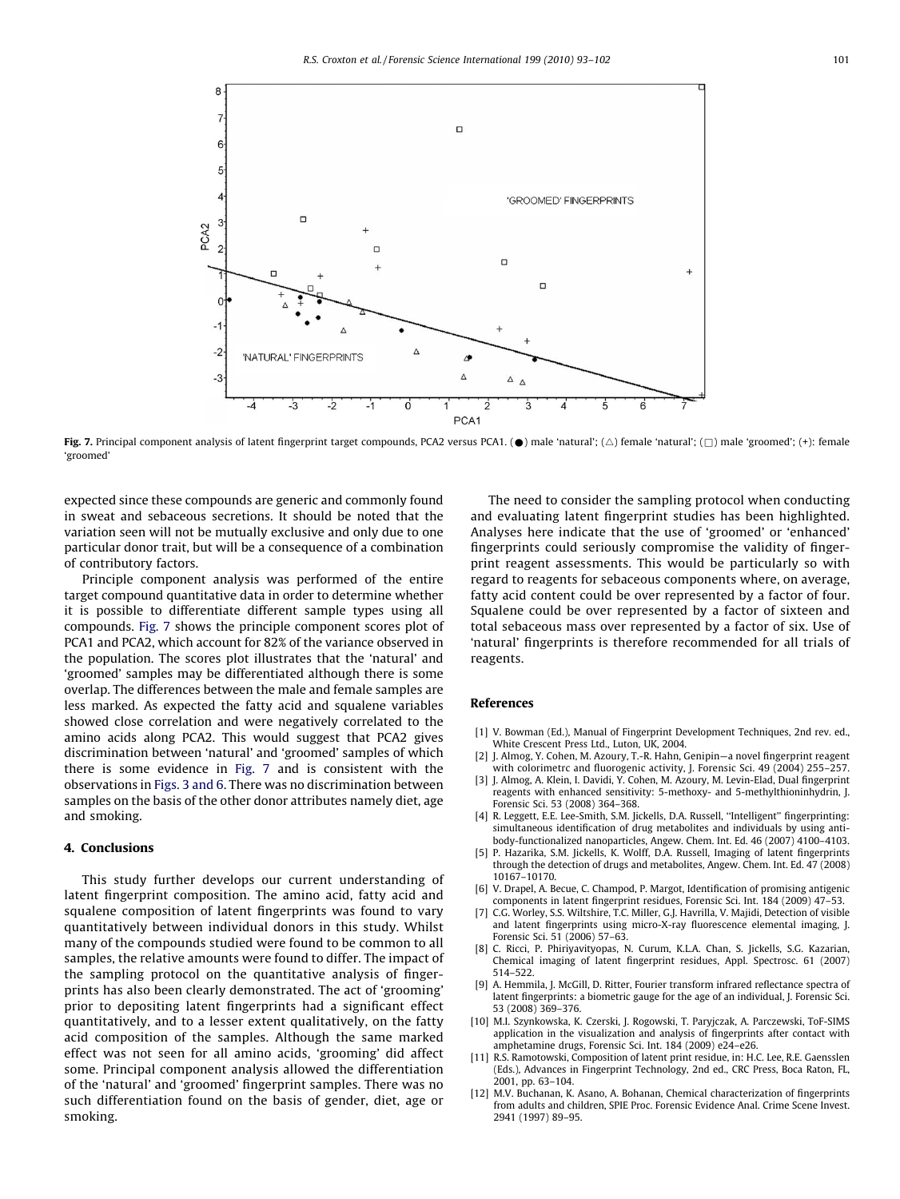<span id="page-8-0"></span>

Fig. 7. Principal component analysis of latent fingerprint target compounds, PCA2 versus PCA1. ( $\bullet$ ) male 'natural'; ( $\triangle$ ) female 'natural'; ( $\Box$ ) male 'groomed'; (+): female 'groomed'

expected since these compounds are generic and commonly found in sweat and sebaceous secretions. It should be noted that the variation seen will not be mutually exclusive and only due to one particular donor trait, but will be a consequence of a combination of contributory factors.

Principle component analysis was performed of the entire target compound quantitative data in order to determine whether it is possible to differentiate different sample types using all compounds. Fig. 7 shows the principle component scores plot of PCA1 and PCA2, which account for 82% of the variance observed in the population. The scores plot illustrates that the 'natural' and 'groomed' samples may be differentiated although there is some overlap. The differences between the male and female samples are less marked. As expected the fatty acid and squalene variables showed close correlation and were negatively correlated to the amino acids along PCA2. This would suggest that PCA2 gives discrimination between 'natural' and 'groomed' samples of which there is some evidence in Fig. 7 and is consistent with the observations in [Figs. 3 and 6](#page-5-0). There was no discrimination between samples on the basis of the other donor attributes namely diet, age and smoking.

## 4. Conclusions

This study further develops our current understanding of latent fingerprint composition. The amino acid, fatty acid and squalene composition of latent fingerprints was found to vary quantitatively between individual donors in this study. Whilst many of the compounds studied were found to be common to all samples, the relative amounts were found to differ. The impact of the sampling protocol on the quantitative analysis of fingerprints has also been clearly demonstrated. The act of 'grooming' prior to depositing latent fingerprints had a significant effect quantitatively, and to a lesser extent qualitatively, on the fatty acid composition of the samples. Although the same marked effect was not seen for all amino acids, 'grooming' did affect some. Principal component analysis allowed the differentiation of the 'natural' and 'groomed' fingerprint samples. There was no such differentiation found on the basis of gender, diet, age or smoking.

The need to consider the sampling protocol when conducting and evaluating latent fingerprint studies has been highlighted. Analyses here indicate that the use of 'groomed' or 'enhanced' fingerprints could seriously compromise the validity of fingerprint reagent assessments. This would be particularly so with regard to reagents for sebaceous components where, on average, fatty acid content could be over represented by a factor of four. Squalene could be over represented by a factor of sixteen and total sebaceous mass over represented by a factor of six. Use of 'natural' fingerprints is therefore recommended for all trials of reagents.

## References

- [1] V. Bowman (Ed.), Manual of Fingerprint Development Techniques, 2nd rev. ed., White Crescent Press Ltd., Luton, UK, 2004.
- [2] J. Almog, Y. Cohen, M. Azoury, T.-R. Hahn, Genipin—a novel fingerprint reagent with colorimetrc and fluorogenic activity, J. Forensic Sci. 49 (2004) 255–257.
- [3] J. Almog, A. Klein, I. Davidi, Y. Cohen, M. Azoury, M. Levin-Elad, Dual fingerprint reagents with enhanced sensitivity: 5-methoxy- and 5-methylthioninhydrin, J. Forensic Sci. 53 (2008) 364–368.
- [4] R. Leggett, E.E. Lee-Smith, S.M. Jickells, D.A. Russell, "Intelligent" fingerprinting: simultaneous identification of drug metabolites and individuals by using antibody-functionalized nanoparticles, Angew. Chem. Int. Ed. 46 (2007) 4100–4103.
- [5] P. Hazarika, S.M. Jickells, K. Wolff, D.A. Russell, Imaging of latent fingerprints through the detection of drugs and metabolites, Angew. Chem. Int. Ed. 47 (2008) 10167–10170.
- V. Drapel, A. Becue, C. Champod, P. Margot, Identification of promising antigenic components in latent fingerprint residues, Forensic Sci. Int. 184 (2009) 47–53.
- [7] C.G. Worley, S.S. Wiltshire, T.C. Miller, G.J. Havrilla, V. Majidi, Detection of visible and latent fingerprints using micro-X-ray fluorescence elemental imaging, J. Forensic Sci. 51 (2006) 57–63.
- [8] C. Ricci, P. Phiriyavityopas, N. Curum, K.L.A. Chan, S. Jickells, S.G. Kazarian, Chemical imaging of latent fingerprint residues, Appl. Spectrosc. 61 (2007) 514–522.
- [9] A. Hemmila, J. McGill, D. Ritter, Fourier transform infrared reflectance spectra of latent fingerprints: a biometric gauge for the age of an individual, J. Forensic Sci. 53 (2008) 369–376.
- [10] M.I. Szynkowska, K. Czerski, J. Rogowski, T. Paryjczak, A. Parczewski, ToF-SIMS application in the visualization and analysis of fingerprints after contact with amphetamine drugs, Forensic Sci. Int. 184 (2009) e24–e26.
- [11] R.S. Ramotowski, Composition of latent print residue, in: H.C. Lee, R.E. Gaensslen (Eds.), Advances in Fingerprint Technology, 2nd ed., CRC Press, Boca Raton, FL, 2001, pp. 63–104.
- [12] M.V. Buchanan, K. Asano, A. Bohanan, Chemical characterization of fingerprints from adults and children, SPIE Proc. Forensic Evidence Anal. Crime Scene Invest. 2941 (1997) 89–95.